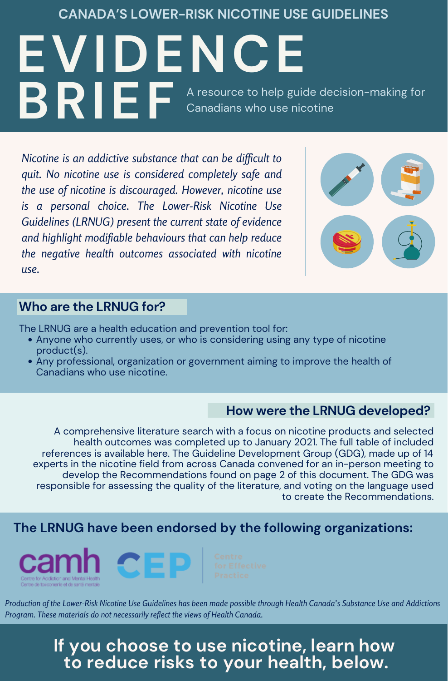Nicotine is an addictive substance that can be difficult to quit. No nicotine use is considered completely safe and the use of nicotine is discouraged. However, nicotine use is a personal choice. The Lower-Risk Nicotine Use Guidelines (LRNUG) present the current state of evidence and highlight modifiable behaviours that can help reduce the negative health outcomes associated with nicotine use.



# If you choose to use nicotine, learn how to reduce risks to your health, below.

A comprehensive literature search with a focus on nicotine products and selected health outcomes was completed up to January 2021. The full table of included references is available [here.](https://www.nicotinedependenceclinic.com/en/Documents/LRNUG%20-%20Executive%20Summary%20(2).pdf) The Guideline Development Group (GDG), made up of 14 experts in the nicotine field from across Canada convened for an in-person meeting to develop the Recommendations found on page 2 of this document. The GDG was responsible for assessing the quality of the literature, and voting on the language used to create the Recommendations.

- Anyone who currently uses, or who is considering using any type of nicotine product(s).
- Any professional, organization or government aiming to improve the health of Canadians who use nicotine.

The LRNUG are a health education and prevention tool for:

Production of the Lower-Risk Nicotine Use Guidelines has been made possible through Health Canada's Substance Use and Addictions Program. These materials do not necessarily reflect the views of Health Canada.

CANADA'S LOWER-RISK NICOTINE USE GUIDELINES

EVIDENCE BRIEF A resource to help guide decision-making for Canadians who use nicotine

#### Who are the LRNUG for?

## The LRNUG have been endorsed by the following organizations:



#### How were the LRNUG developed?